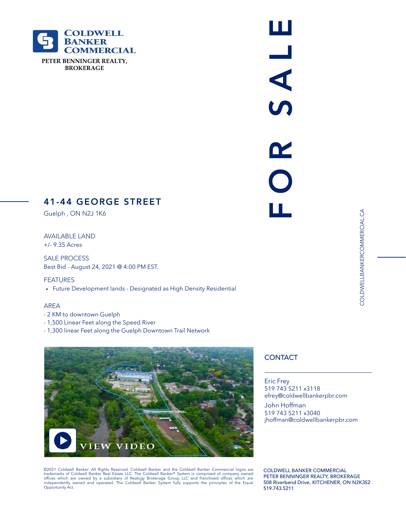

CONTAC<br>
Eric Frey<br>
519.743.52<br>
Strey@cold<br>
John Hoffnan@<br>
519.743.52<br>
John Hoffnan@<br>
519.743.52<br>
SOLDWELL B<br>
508.Riverben Щ EORSAL

# 41-44 GEORGE STREET

Guelph , ON N2J 1K6

AVAILABLE LAND +/- 9.35 Acres

SALE PROCESS Best Bid - August 24, 2021 @ 4:00 PM EST.

## FEATURES

Future Development lands - Designated as High Density Residential

## AREA

- 2 KM to downtown Guelph
- 1,500 Linear Feet along the Speed River
- 1,300 linear Feet along the Guelph Downtown Trail Network



©2021 Coldwell Banker. All Rights Reserved. Coldwell Banker and the Coldwell Banker Commercial logos are trademarks of Coldwell Banker Real Estate LLC. The Coldwell Banker® System is comprised of company owned<br>offices which are owned by a subsidiary of Realogy Brokerage Group LLC and franchised offices which are<br>independently Opportunity Act.

## **CONTACT**

Eric Frey 519 743 5211 x3118 efrey@coldwellbankerpbr.com

John Hoffman 519 743 5211 x3040 jhoffman@coldwellbankerpbr.com

COLDWELL BANKER COMMERCIAL PETER BENNINGER REALTY, BROKERAGE 508 Riverbend Drive, KITCHENER, ON N2K3S2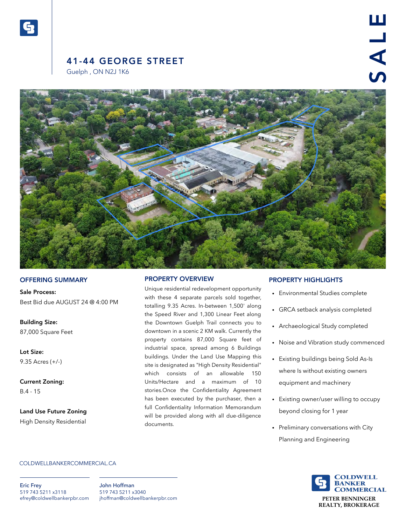## 41-44 GEORGE STREET

Guelph , ON N2J 1K6



### OFFERING SUMMARY

Sale Process: Best Bid due AUGUST 24 @ 4:00 PM

Building Size: 87,000 Square Feet

Lot Size: 9.35 Acres (+/-)

Current Zoning: B.4 - 15

Land Use Future Zoning High Density Residential

### PROPERTY OVERVIEW

Unique residential redevelopment opportunity with these 4 separate parcels sold together, totalling 9.35 Acres. In-between 1,500' along the Speed River and 1,300 Linear Feet along the Downtown Guelph Trail connects you to downtown in a scenic 2 KM walk. Currently the property contains 87,000 Square feet of industrial space, spread among 6 Buildings buildings. Under the Land Use Mapping this site is designated as "High Density Residential" which consists of an allowable 150 Units/Hectare and a maximum of 10 stories.Once the Confidentiality Agreement has been executed by the purchaser, then a full Confidentiality Information Memorandum will be provided along with all due-diligence documents.

## PROPERTY HIGHLIGHTS

- Environmental Studies complete
- GRCA setback analysis completed
- Archaeological Study completed
- Noise and Vibration study commenced
- Existing buildings being Sold As-Is where Is without existing owners equipment and machinery
- Existing owner/user willing to occupy beyond closing for 1 year
- Preliminary conversations with City Planning and Engineering



### COLDWELLBANKERCOMMERCIAL.CA

Eric Frey 519 743 5211 x3118 efrey@coldwellbankerpbr.com

John Hoffman 519 743 5211 x3040 jhoffman@coldwellbankerpbr.com **PETER BENNINGER**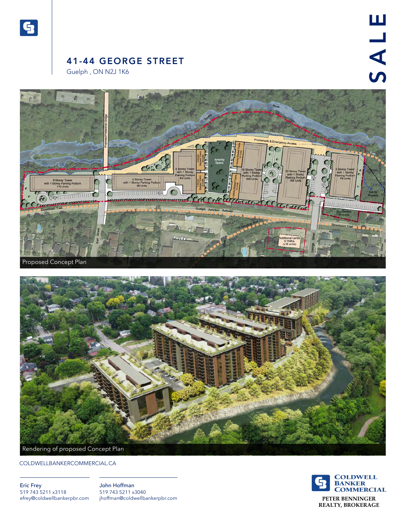## 41-44 GEORGE STREET

Guelph , ON N2J 1K6





COLDWELLBANKERCOMMERCIAL.CA

Eric Frey 519 743 5211 x3118 efrey@coldwellbankerpbr.com John Hoffman 519 743 5211 x3040 jhoffman@coldwellbankerpbr.com **PETER BENNINGER**

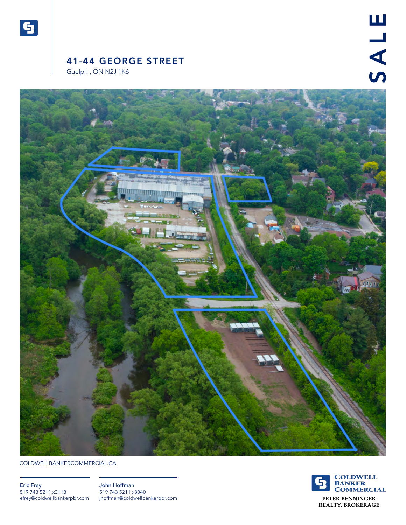

# 41-44 GEORGE STREET

Guelph , ON N2J 1K6

SALE



COLDWELLBANKERCOMMERCIAL.CA

Eric Frey 519 743 5211 x3118 efrey@coldwellbankerpbr.com John Hoffman 519 743 5211 x3040 jhoffman@coldwellbankerpbr.com **PETER BENNINGER**

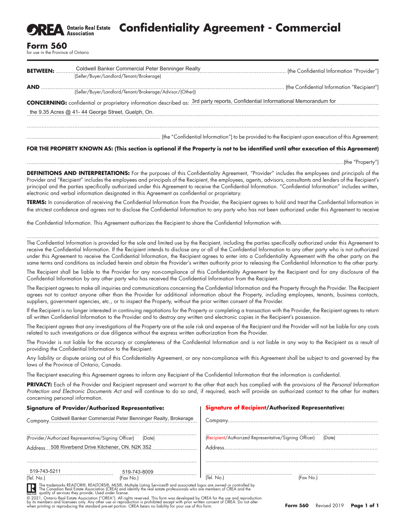

# **Confidentiality Agreement - Commercial**

## **Form 560**

for use in the Province of Ontario

| <b>BETWEEN:</b>                                                                                                                       | Coldwell Banker Commercial Peter Benninger Realty<br>(Seller/Buyer/Landlord/Tenant/Brokerage)                                                                                                                                                  |  |  |  |  |
|---------------------------------------------------------------------------------------------------------------------------------------|------------------------------------------------------------------------------------------------------------------------------------------------------------------------------------------------------------------------------------------------|--|--|--|--|
| <b>AND</b>                                                                                                                            |                                                                                                                                                                                                                                                |  |  |  |  |
| <b>CONCERNING:</b> confidential or proprietary information described as: 3rd party reports, Confidential Informational Memorandum for |                                                                                                                                                                                                                                                |  |  |  |  |
|                                                                                                                                       | the 9.35 Acres @ 41-44 George Street, Guelph, On.                                                                                                                                                                                              |  |  |  |  |
|                                                                                                                                       |                                                                                                                                                                                                                                                |  |  |  |  |
|                                                                                                                                       |                                                                                                                                                                                                                                                |  |  |  |  |
|                                                                                                                                       |                                                                                                                                                                                                                                                |  |  |  |  |
| FOR THE PROPERTY KNOWN AS: (This section is optional if the Property is not to be identified until after execution of this Agreement) |                                                                                                                                                                                                                                                |  |  |  |  |
|                                                                                                                                       |                                                                                                                                                                                                                                                |  |  |  |  |
|                                                                                                                                       | <b>DEFINITIONS AND INTERPRETATIONS:</b> For the purposes of this Confidentiality Agreement, "Provider" includes the employees and principals of the<br>فينقاط الناسي المستنبط والمستنب والمتحافظ والمتحافظ المستنب المستنبط المستنبط والمستنبط |  |  |  |  |

**DEFINITIONS AND INTERPRETATIONS:** For the purposes of this Confidentiality Agreement, "Provider" includes the employees and principals of the Provider and "Recipient" includes the employees and principals of the Recipient, the employees, agents, advisors, consultants and lenders of the Recipient's principal and the parties specifically authorized under this Agreement to receive the Confidential Information. "Confidential Information" includes written, electronic and verbal information designated in this Agreement as confidential or proprietary.

**TERMS:** In consideration of receiving the Confidential Information from the Provider, the Recipient agrees to hold and treat the Confidential Information in the strictest confidence and agrees not to disclose the Confidential Information to any party who has not been authorized under this Agreement to receive

the Condential Information. This Agreement authorizes the Recipient to share the Condential Information with............................................................

....................................................................................................................................................................................................................... The Confidential Information is provided for the sole and limited use by the Recipient, including the parties specifically authorized under this Agreement to receive the Confidential Information. If the Recipient intends to disclose any or all of the Confidential Information to any other party who is not authorized under this Agreement to receive the Confidential Information, the Recipient agrees to enter into a Confidentiality Agreement with the other party on the same terms and conditions as included herein and obtain the Provider's written authority prior to releasing the Confidential Information to the other party.

The Recipient shall be liable to the Provider for any non-compliance of this Confidentiality Agreement by the Recipient and for any disclosure of the Confidential Information by any other party who has received the Confidential Information from the Recipient.

The Recipient agrees to make all inquiries and communications concerning the Confidential Information and the Property through the Provider. The Recipient agrees not to contact anyone other than the Provider for additional information about the Property, including employees, tenants, business contacts, suppliers, government agencies, etc., or to inspect the Property, without the prior written consent of the Provider.

If the Recipient is no longer interested in continuing negotiations for the Property or completing a transaction with the Provider, the Recipient agrees to return all written Condential Information to the Provider and to destroy any written and electronic copies in the Recipient's possession.

The Recipient agrees that any investigations of the Property are at the sole risk and expense of the Recipient and the Provider will not be liable for any costs related to such investigations or due diligence without the express written authorization from the Provider.

The Provider is not liable for the accuracy or completeness of the Confidential Information and is not liable in any way to the Recipient as a result of providing the Confidential Information to the Recipient.

Any liability or dispute arising out of this Confidentiality Agreement, or any non-compliance with this Agreement shall be subject to and governed by the laws of the Province of Ontario, Canada.

The Recipient executing this Agreement agrees to inform any Recipient of the Confidential Information that the information is confidential.

**PRIVACY:** Each of the Provider and Recipient represent and warrant to the other that each has complied with the provisions of the Personal Information Protection and Electronic Documents Act and will continue to do so and, if required, each will provide an authorized contact to the other for matters concerning personal information.

| <b>Signature of Provider/Authorized Representative:</b>                                                             |                                                                                                                                                                                                                                   | <b>Signature of Recipient/Authorized Representative:</b>                   |           |  |
|---------------------------------------------------------------------------------------------------------------------|-----------------------------------------------------------------------------------------------------------------------------------------------------------------------------------------------------------------------------------|----------------------------------------------------------------------------|-----------|--|
|                                                                                                                     | Company.Coldwell Banker Commercial Peter Benninger Realty, Brokerage                                                                                                                                                              |                                                                            |           |  |
| (Provider/Authorized Representative/Signing Officer)<br>(Date)<br>Address508 Riverbend Drive Kitchener, ON. N2K 3S2 |                                                                                                                                                                                                                                   | (Recipient/Authorized Representative/Signing Officer)<br>(Date)<br>Address |           |  |
|                                                                                                                     |                                                                                                                                                                                                                                   |                                                                            |           |  |
| 519-743-5211<br>(Tel. No.)                                                                                          | 519-743-8009<br>(Fax No.)                                                                                                                                                                                                         | (Tel. No.)                                                                 | (Fax No.) |  |
|                                                                                                                     | The trademarks REALTOR®, REALTORS®, MLS®, Multiple Listing Services® and associated logos are owned or controlled by<br>The Canadian Real Estate Association (CREA) and identify the real estate professionals who are members of |                                                                            |           |  |
|                                                                                                                     | © 2021, Ontario Real Estate Association ("OREA"). All rights reserved. This form was developed by OREA for the use and reproduction                                                                                               |                                                                            |           |  |

© 2021, Ontario Real Estate Association ("OREA"). All rights reserved. This form was developed by OREA for the use and reproduction<br>by its members and licensees only. Any other use or reproduction is prohibited except with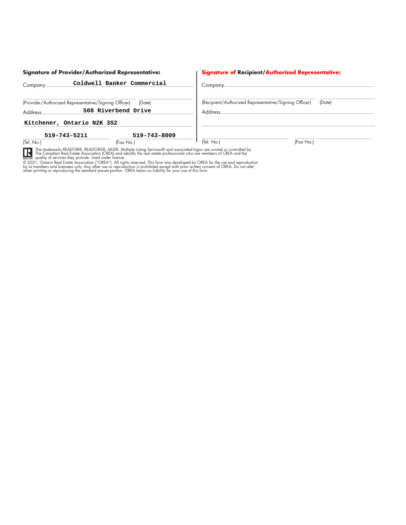|                            | <b>Signature of Provider/Authorized Representative:</b>                                                                   | <b>Signature of Recipient/Authorized Representative:</b>                          |  |
|----------------------------|---------------------------------------------------------------------------------------------------------------------------|-----------------------------------------------------------------------------------|--|
|                            |                                                                                                                           |                                                                                   |  |
|                            | (Provider/Authorized Representative/Signing Officer)<br>(Date)                                                            | (Recipient/Authorized Representative/Signing Officer)<br>(Date)<br><b>Address</b> |  |
| Kitchener, Ontario N2K 3S2 |                                                                                                                           |                                                                                   |  |
| 519-743-5211               | 519-743-8009                                                                                                              |                                                                                   |  |
| (Tel. No.)                 | (Fax No.)                                                                                                                 | (Tel. No.)<br>(Fax No.)                                                           |  |
|                            | <b>FULL The books of ALTORA REALTORA ANCA ALBERT Contract and consisted lesses and consideration of the United States</b> |                                                                                   |  |

The trademarks REALTOR®, REALTORS®, MLS®, Multiple Listing Services® and associated logos are owned or controlled by<br>
maximos quality of services they provide. Used under license.<br>
© 2021, Ontario Real Estate Association (